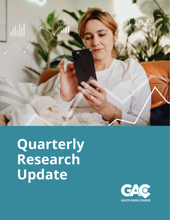

**Quarterly Research Update**

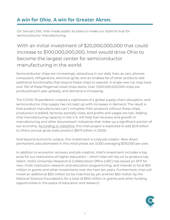## **A win for Ohio. A win for Greater Akron.**

On January 21st, Intel made public its plans to make our state its hub for semiconductor manufacturing.

## With an initial investment of \$20,000,000,000 that could increase to \$100,000,000,000, Intel would drive Ohio to become the largest center for semiconductor manufacturing in the world.

Semiconductor chips are increasingly ubiquitous in our daily lives, as cars, phones, computers, refrigerators, electrical grids, and an endless list of other products add additional functionality that require these chips to operate. A single new car may have over 100 of these fingernail-sized chips alone. Over 1,000,000,000,000 chips are produced each year globally, and demand is increasing.

The COVID-19 pandemic created a nightmare of a global supply chain disruption, and semiconductor chip supply has not kept up with increases in demand. The result is that product manufacturers can't complete their products without these chips, production is stalled, factories partially close, and profits and wages are lost. Adding chip manufacturing capacity in the U.S. will help fuel recovery and growth in manufacturing and other downstream industries that make up a significant portion of our economy. [According to JobsOhio,](https://www.jobsohio.com/intel-in-ohio/) this Intel project is expected to add \$2.8 billion to Ohio's annual gross state product (\$675 billion in 2020).

And beyond economic output, this investment is a big job creator. New direct permanent jobs estimated in this initial phase are 3,000 averaging \$135,000 per year.

In addition to economic recovery and job creation, Intel's investment includes a big prize for our institutions of higher-education – which Intel will rely on to produce top talent. Intel's University Research & Collaboration Office (URC) has issued an RFP for new, multi-institution research and education programming, and intends to fund \$50 million in grants and other investments over the next ten years. Furthermore, Intel will invest an additional \$50 million (to be matched by yet another \$50 million by the National Science Foundation), for a total of \$150 million in grants and other funding opportunities in the space of education and research.

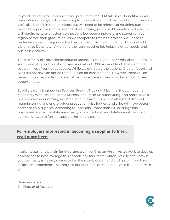Beyond Intel, this focus on increased production of STEM talent will benefit a broad mix of Ohio employers. This new supply of critical talent will be important for the state. We'll also benefit in Greater Akron, but will need to be mindful of retaining current talent as opportunity for thousands of well-paying jobs just 90 minutes to the south will require us to strengthen connections between employers and students in our region before their graduation. As we compete to retain this talent, we'll need to better leverage our region's attractive low cost of living and quality of life, and add vibrancy to Downtown Akron and the region's other job hubs, neighborhoods, and business districts.

The site for Intel's new semiconductor factory is Licking County, Ohio, about 100 miles southwest of Downtown Akron, and is on about 1,000 acres of land. That's about 1.5 square miles of contiguous space. While we evaluated the options, Greater Akron and NEO did not have an option that qualified for consideration. However, there will be benefit to our region from related attraction, expansion and supplier and end user opportunities.

Suppliers from Engineering Services, Freight Trucking, Machine Shops, Industrial Machinery Wholesalers, Plastic Material and Resin Manufacturing, and more, have a big new customer moving in just 90 minutes away. Buyers in all sorts of different manufacturing and end-product production, distribution, and sales will have better access to chip supplies. According to JobsOhio, "more than 140 existing Ohio businesses across the state are already Intel suppliers," and Intel's investment will catalyze growth to further support the supply chain.

#### **For employers interested in becoming a supplier to Intel, read [more](https://www.intel.com/content/www/us/en/support/articles/000015140/programs/intel-corporation.html) here.**

Intel's investment is a win for Ohio, and a win for Greater Akron. As we work to develop approaches to best leverage this opportunity for Greater Akron, we'd like to know if your company is heavily connected to the supply or demand of chips or if you have insight and experience that may aid our efforts. If so, reach out – we'd like to talk with you!

Brian Anderson Sr. Director of Research

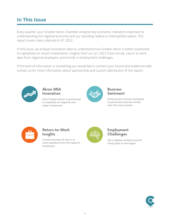### **In This Issue**

Every quarter, your Greater Akron Chamber analyzes key economic indicators important to understanding the regional economy and our standing relative to metropolitan peers. This report covers data collected in Q1 2022.

In this issue, we analyze innovation data to understand how Greater Akron is better positioned to capitalized on recent investments, insights from our Q1 2022 Pulse Survey, return to work data from regional employers, and trends in employment challenges.

If this kind of information is something you would like to connect your brand and audiences with, contact us for more information about sponsorship and custom distribution of this report.



#### Akron MSA [Innovation](#page-4-0)

How Greater Akron is positioned to capitalize on regional and state investment.



#### **Business [Sentiment](#page-6-0)**

Employment trends compared to perceived revenue trends over the next quarter.



#### [Return-to-Work](#page-7-0) Insights

A brief overview of return to work statistics from the region's employers.



#### [Employment](#page-7-0) **Challenges**

Get a deeper analysis around hiring data in the region.

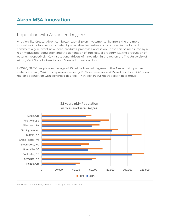## <span id="page-4-0"></span>**Akron MSA Innovation**

### Population with Advanced Degrees

A region like Greater Akron can better capitalize on investments like Intel's the the more innovative it is. Innovation is fueled by specialized expertise and produced in the form of commercially-relevant new ideas, products, processes, and so on. These can be measured by a highly educated population and the generation of intellectual property (i.e., the production of patents), respectively. Key institutional drivers of innovation in the region are The University of Akron, Kent State University, and Bounce Innovation Hub.

In 2020, 58,016 people over the age of 25 held advanced degrees in the Akron metropolitan statistical area (MSA). This represents a nearly 13.5% increase since 2015 and results in 8.3% of our region's population with advanced degrees -- 4th best in our metropolitan peer group.



Source: U.S. Census Bureau, American Community Survey, Table S1501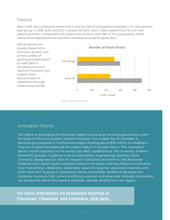#### Patents

Akron MSA has consistently performed in the top half of total patents awarded in its metropolitan peer group. In 2018, 2019, and 2021 it ranked 5th of 10, and in 2020 ranked 3rd of 10 with 448 patents granted. Compared to the relative size of Akron MSA (8th of 10 in population), these results show disproportional success in intellectual property generation.



Source: USPTO Patents View

### Innovation District

Our region is leveraging its innovation assets to pursue an exciting opportunity under the State of Ohio's Innovation District initiatives. The Greater Akron Chamber is developing a proposal to fund several project totaling about \$30 million to establish a Polymer & Advanced Materials Innovation District in Greater Akron. This innovation district would capitalize on the world-class R&D capabilities at The University of Akron (ranked #1 globally in polymer science and plastics engineering) and Kent State University (designated an elite R-1 research institution and home to the Advanced Materials and Liquid Crystal Institute); enhance the place-making of Bounce Innovation Hub in providing a dedicated, destination space for polymer, advanced materials, and other hard-tech startups in Downtown Akron; and bolster workforce development initiatives to ensure that current and future polymer and advanced materials companies can access the talent they need to establish, operate, and thrive in our region.

**For more information on Innovation Districts in Cincinnati, Cleveland, and Columbus, click [here.](https://www.jobsohio.com/blog/innovation-districts-transforming-healthcare-and-technology-thrive-in-ohio/)**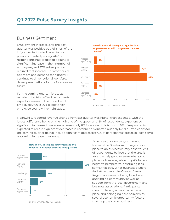### <span id="page-6-0"></span>**Q1 2022 Pulse Survey Insights**

#### Business Sentiment

Employment increase over the past quarter was positive but fell short of the lofty expectations indicated in our previous quarterly survey: 46% of respondents had predicted a slight or significant increase in their number of employees, and 37% subsequently realized that increase. This continued optimism and demand for hiring will continue to drive regional workforce development efforts for the foreseeable future.

For the coming quarter, forecasts remain optimistic. 45% of participants expect increases in their number of employees, while 50% expect their employee count will remain static.





Source: GAC Q2 2022 Pulse Survey

Meanwhile, reported revenue change from last quarter was higher than expected, with the largest difference being on the high end of the spectrum: 15% of respondents experienced significant increases in revenue, whereas only 8% forecasted this to occur. 8% of respondents expected to record significant decreases in revenue this quarter, but only 6% did. Predictions for the coming quarter do not include significant decreases; 73% of participants foresee at least some upcoming increase in revenue.





As in previous quarters, sentiment towards the Greater Akron region as a place to do business is very positive. 77% of respondents believe that the area is an extremely good or somewhat good place for business, while only 4% have a negative perspective, describing it as somewhat bad. What business owners find attractive in the Greater Akron Region is a sense of being local here and finding community as well as support from the local government and business associations. Participants mention having a personal sense of place and belonging here paired with several economic opportunity factors that help their own business.

Source: GAC Q2 2022 Pulse Survey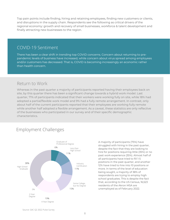<span id="page-7-0"></span>Top pain points include finding, hiring and retaining employees, finding new customers or clients, and disruptions in the supply chain. Respondents see the following as critical drivers of the regional economy: growth and recovery of small businesses, workforce & talent development and finally attracting new businesses to the region.

#### COVID-19 Sentiment

There has been a clear shift in trending top COVID concerns. Concern about returning to prepandemic levels of business have increased, while concern about virus spread among employees and/or customers has decreased. That is, COVID is becoming increasingly an economic rather than health concern.

#### Return to Work

Whereas in the past quarter a majority of participants reported having their employees back on site, by this quarter there has been a significant change towards a hybrid work model. Last quarter, 71% of participants indicated that their workers were working fully on site, while 18% had adopted a partial/flexible work model and 9% had a fully remote arrangement. In contrast, only about half of the current participants reported that their employees are working fully remote while another half adopted a flexible arrangement. As a caveat, these statistics are only reflective of the businesses who participated in our survey and of their specific demographic characteristics.

### Employment Challenges



A majority of participants (75%) have struggled with hiring in the past quarter, despite the fact that they are looking to hire for positions requiring little (35%) or no past work experience (35%). Almost half of all participants have tried to fill 1-5 positions in the past quarter, and another 12% have tried to hire into 10 positions or more. In terms of the level of education being sought, a majority of 38% of respondents are trying to employ high school graduates. This is despite the fact that, according to the US Census, 16,523 residents of the Akron MSA are unemployed as of February 2022.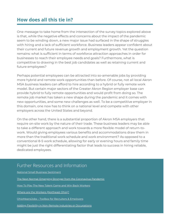### **How does all this tie in?**

One message to take home from the intersection of the survey topics explored above is that, while the negative effects and concerns about the impact of the pandemic seem to be winding down, a new major issue had surfaced in the shape of struggles with hiring and a lack of sufficient workforce. Business leaders appear confident about their current and future revenue growth and employment growth. Yet the question remains: what is sufficient in terms of workforce attraction approaches in order for businesses to reach their employee needs and goals? Furthermore, what is competitive to drawing in the best job candidates as well as retaining current and future employees?

Perhaps potential employees can be attracted into so-amenable jobs by providing more hybrid and remote work opportunities than before. Of course, not all local Akron MSA business leaders can afford to hire according to a hybrid or fully remote work model. But certain major sectors of the Greater Akron Region employer base can provide hybrid to fully remote opportunities and would profit from doing so. The remote job market has taken a new shape during the pandemic and it comes with new opportunities, and some new challenges as well. To be a competitive employer in this domain, one now has to think on a national level and compete with other employers across the United States and beyond.

On the other hand, there is a substantial proportion of Akron MSA employers that require on-site work by the nature of their trade. These business leaders may be able to take a different approach and work towards a more flexible model of return-towork. Would giving employees various benefits and accommodations draw them in more than the traditional work schedule and work environment? As opposed to a conventional 8-5 work schedule, allowing for early or evening hours and family time might be just the right differentiating factor that leads to success in hiring reliable, dedicated employees.

#### Further Resources and Information

|  | <b>National Small Business Sentiment</b> |
|--|------------------------------------------|
|--|------------------------------------------|

The Next Normal: Emerging Stronger from the [Coronavirus](https://www.mckinsey.com/featured-insights/coronavirus-leading-through-the-crisis) Pandemic

How To Play The New Talent Game and Win Back [Workers](https://www.mckinsey.com/business-functions/people-and-organizational-performance/our-insights/gone-for-now-or-gone-for-good-how-to-play-the-new-talent-game-and-win-back-workers)

Where are the Workers [\(Northeast](https://www.thefundneo.org/watw/#:~:text=The%20Where%20are%20the%20Workers,Workforce%20Area%20Council%20of%20Governments.) Ohio)?

[OhioMeansJobs](https://ohiomeansjobs.ohio.gov/for-employers) – Toolbox for Recruiters & Employers

Adding Flexibility in [Non-Remote](https://blog.shrm.org/blog/the-remote-work-gap-how-to-add-flexibility-in-a-non-flexible-industry-or-jo) Industries or Occupations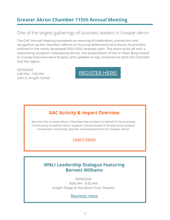### **Greater Akron Chamber 115th Annual Meeting**

### One of the largest gatherings of business leaders in Greater Akron

The GAC Annual Meeting represents an evening of celebration, connection and recognition as the Chamber reflects on its accomplishments and shares its priorities outlined in the newly developed 2022-2024 strategic plan. This event kicks off with a networking reception, followed by dinner, the presentation of the H. Peter Burg Award to County Executive Ilene Shapiro, and updates on key initiatives for both the Chamber and the region.

05/10/2022 4:30 PM - 7:30 PM John S. Knight Center

[REGISTER](https://akronohcoc.weblinkconnect.com/events/TheGreater%20Akron%20Chambers%20115th%20Annual%20Meeting-1139/details) HERE!

### **GAC Activity & Impact Overview**

See how the Greater Akron Chamber has worked on behalf of the business community to deliver direct support to businesses of all sizes and catalyze investment, economic growth, and employment for Greater Akron.

[Learn](chrome-extension://efaidnbmnnnibpcajpcglclefindmkaj/https://greaterakronchamber.org/wp-content/uploads/2022/04/GAC-impact-piece-new.pdf) More

#### **WNLI Leadership Dialogue Featuring Bernett Williams**

05/18/2022 8:00 AM - 9:30 AM Knight Stage at the Akron Civic Theatre

[Register](https://members.greaterakronchamber.org/events/WNLILeadership%20Dialogue%20Featuring%20Bernett%20Williams-2166/details) Here